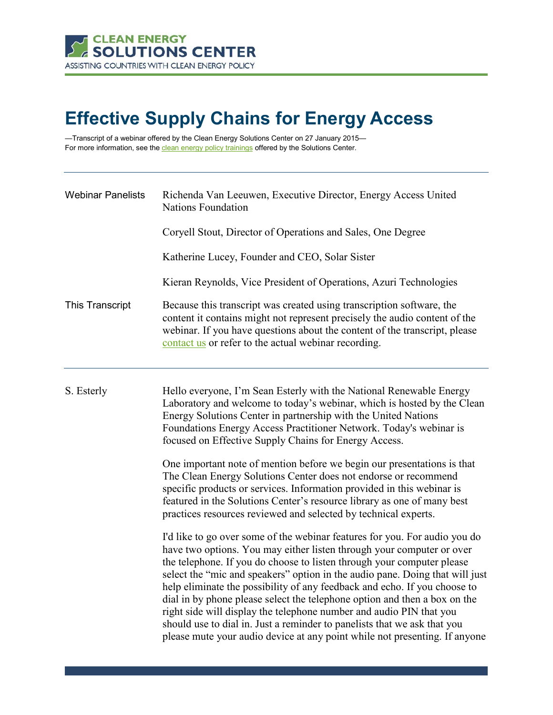

# **Effective Supply Chains for Energy Access**

—Transcript of a webinar offered by the Clean Energy Solutions Center on 27 January 2015 For more information, see th[e clean energy policy trainings](https://cleanenergysolutions.org/training) offered by the Solutions Center.

| <b>Webinar Panelists</b> | Richenda Van Leeuwen, Executive Director, Energy Access United<br><b>Nations Foundation</b>                                                                                                                                                                                                                                                                                                                                                                                                                                                                                                                                                                                                              |
|--------------------------|----------------------------------------------------------------------------------------------------------------------------------------------------------------------------------------------------------------------------------------------------------------------------------------------------------------------------------------------------------------------------------------------------------------------------------------------------------------------------------------------------------------------------------------------------------------------------------------------------------------------------------------------------------------------------------------------------------|
|                          | Coryell Stout, Director of Operations and Sales, One Degree                                                                                                                                                                                                                                                                                                                                                                                                                                                                                                                                                                                                                                              |
|                          | Katherine Lucey, Founder and CEO, Solar Sister                                                                                                                                                                                                                                                                                                                                                                                                                                                                                                                                                                                                                                                           |
|                          | Kieran Reynolds, Vice President of Operations, Azuri Technologies                                                                                                                                                                                                                                                                                                                                                                                                                                                                                                                                                                                                                                        |
| <b>This Transcript</b>   | Because this transcript was created using transcription software, the<br>content it contains might not represent precisely the audio content of the<br>webinar. If you have questions about the content of the transcript, please<br>contact us or refer to the actual webinar recording.                                                                                                                                                                                                                                                                                                                                                                                                                |
| S. Esterly               | Hello everyone, I'm Sean Esterly with the National Renewable Energy<br>Laboratory and welcome to today's webinar, which is hosted by the Clean<br>Energy Solutions Center in partnership with the United Nations<br>Foundations Energy Access Practitioner Network. Today's webinar is<br>focused on Effective Supply Chains for Energy Access.                                                                                                                                                                                                                                                                                                                                                          |
|                          | One important note of mention before we begin our presentations is that<br>The Clean Energy Solutions Center does not endorse or recommend<br>specific products or services. Information provided in this webinar is<br>featured in the Solutions Center's resource library as one of many best<br>practices resources reviewed and selected by technical experts.                                                                                                                                                                                                                                                                                                                                       |
|                          | I'd like to go over some of the webinar features for you. For audio you do<br>have two options. You may either listen through your computer or over<br>the telephone. If you do choose to listen through your computer please<br>select the "mic and speakers" option in the audio pane. Doing that will just<br>help eliminate the possibility of any feedback and echo. If you choose to<br>dial in by phone please select the telephone option and then a box on the<br>right side will display the telephone number and audio PIN that you<br>should use to dial in. Just a reminder to panelists that we ask that you<br>please mute your audio device at any point while not presenting. If anyone |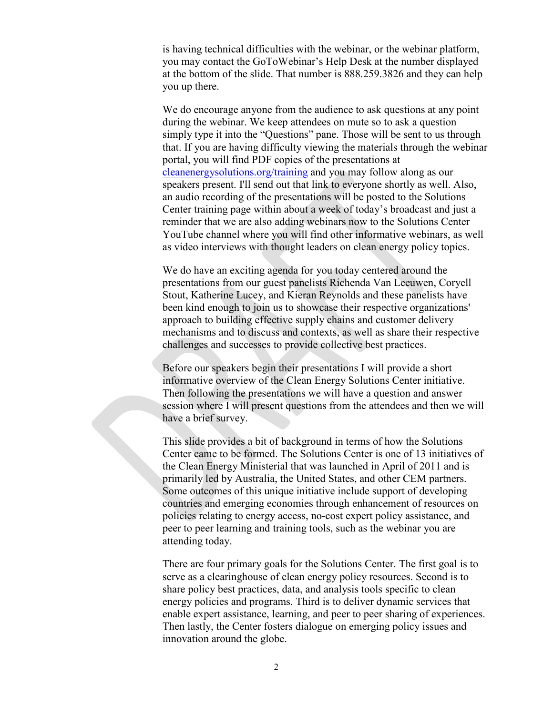is having technical difficulties with the webinar, or the webinar platform, you may contact the GoToWebinar's Help Desk at the number displayed at the bottom of the slide. That number is 888.259.3826 and they can help you up there.

We do encourage anyone from the audience to ask questions at any point during the webinar. We keep attendees on mute so to ask a question simply type it into the "Questions" pane. Those will be sent to us through that. If you are having difficulty viewing the materials through the webinar portal, you will find PDF copies of the presentations at [cleanenergysolutions.org/training](https://cleanenergysolutions.org/training) and you may follow along as our speakers present. I'll send out that link to everyone shortly as well. Also, an audio recording of the presentations will be posted to the Solutions Center training page within about a week of today's broadcast and just a reminder that we are also adding webinars now to the Solutions Center YouTube channel where you will find other informative webinars, as well as video interviews with thought leaders on clean energy policy topics.

We do have an exciting agenda for you today centered around the presentations from our guest panelists Richenda Van Leeuwen, Coryell Stout, Katherine Lucey, and Kieran Reynolds and these panelists have been kind enough to join us to showcase their respective organizations' approach to building effective supply chains and customer delivery mechanisms and to discuss and contexts, as well as share their respective challenges and successes to provide collective best practices.

Before our speakers begin their presentations I will provide a short informative overview of the Clean Energy Solutions Center initiative. Then following the presentations we will have a question and answer session where I will present questions from the attendees and then we will have a brief survey.

This slide provides a bit of background in terms of how the Solutions Center came to be formed. The Solutions Center is one of 13 initiatives of the Clean Energy Ministerial that was launched in April of 2011 and is primarily led by Australia, the United States, and other CEM partners. Some outcomes of this unique initiative include support of developing countries and emerging economies through enhancement of resources on policies relating to energy access, no-cost expert policy assistance, and peer to peer learning and training tools, such as the webinar you are attending today.

There are four primary goals for the Solutions Center. The first goal is to serve as a clearinghouse of clean energy policy resources. Second is to share policy best practices, data, and analysis tools specific to clean energy policies and programs. Third is to deliver dynamic services that enable expert assistance, learning, and peer to peer sharing of experiences. Then lastly, the Center fosters dialogue on emerging policy issues and innovation around the globe.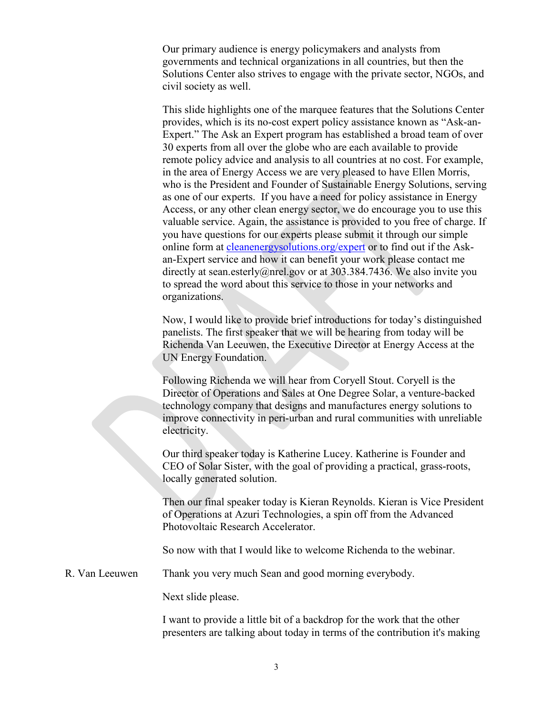Our primary audience is energy policymakers and analysts from governments and technical organizations in all countries, but then the Solutions Center also strives to engage with the private sector, NGOs, and civil society as well.

This slide highlights one of the marquee features that the Solutions Center provides, which is its no-cost expert policy assistance known as "Ask-an-Expert." The Ask an Expert program has established a broad team of over 30 experts from all over the globe who are each available to provide remote policy advice and analysis to all countries at no cost. For example, in the area of Energy Access we are very pleased to have Ellen Morris, who is the President and Founder of Sustainable Energy Solutions, serving as one of our experts. If you have a need for policy assistance in Energy Access, or any other clean energy sector, we do encourage you to use this valuable service. Again, the assistance is provided to you free of charge. If you have questions for our experts please submit it through our simple online form at [cleanenergysolutions.org/expert](https://cleanenergysolutions.org/expert) or to find out if the Askan-Expert service and how it can benefit your work please contact me directly at sean.esterly@nrel.gov or at 303.384.7436. We also invite you to spread the word about this service to those in your networks and organizations.

Now, I would like to provide brief introductions for today's distinguished panelists. The first speaker that we will be hearing from today will be Richenda Van Leeuwen, the Executive Director at Energy Access at the UN Energy Foundation.

Following Richenda we will hear from Coryell Stout. Coryell is the Director of Operations and Sales at One Degree Solar, a venture-backed technology company that designs and manufactures energy solutions to improve connectivity in peri-urban and rural communities with unreliable electricity.

Our third speaker today is Katherine Lucey. Katherine is Founder and CEO of Solar Sister, with the goal of providing a practical, grass-roots, locally generated solution.

Then our final speaker today is Kieran Reynolds. Kieran is Vice President of Operations at Azuri Technologies, a spin off from the Advanced Photovoltaic Research Accelerator.

So now with that I would like to welcome Richenda to the webinar.

R. Van Leeuwen Thank you very much Sean and good morning everybody.

Next slide please.

I want to provide a little bit of a backdrop for the work that the other presenters are talking about today in terms of the contribution it's making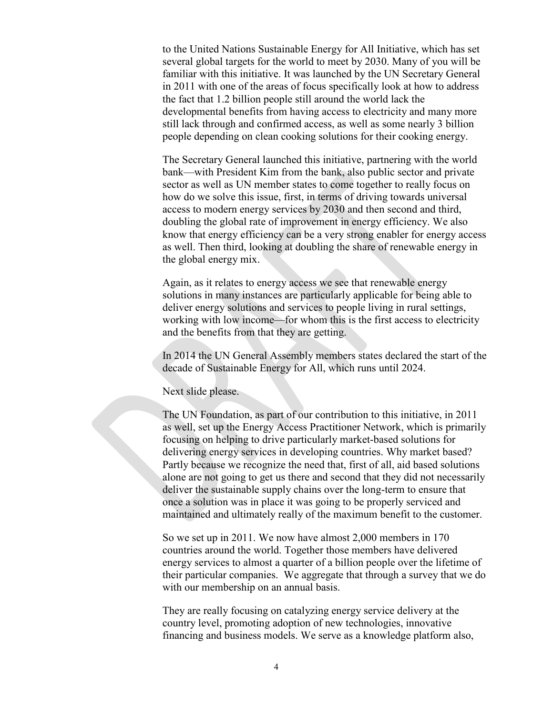to the United Nations Sustainable Energy for All Initiative, which has set several global targets for the world to meet by 2030. Many of you will be familiar with this initiative. It was launched by the UN Secretary General in 2011 with one of the areas of focus specifically look at how to address the fact that 1.2 billion people still around the world lack the developmental benefits from having access to electricity and many more still lack through and confirmed access, as well as some nearly 3 billion people depending on clean cooking solutions for their cooking energy.

The Secretary General launched this initiative, partnering with the world bank—with President Kim from the bank, also public sector and private sector as well as UN member states to come together to really focus on how do we solve this issue, first, in terms of driving towards universal access to modern energy services by 2030 and then second and third, doubling the global rate of improvement in energy efficiency. We also know that energy efficiency can be a very strong enabler for energy access as well. Then third, looking at doubling the share of renewable energy in the global energy mix.

Again, as it relates to energy access we see that renewable energy solutions in many instances are particularly applicable for being able to deliver energy solutions and services to people living in rural settings, working with low income—for whom this is the first access to electricity and the benefits from that they are getting.

In 2014 the UN General Assembly members states declared the start of the decade of Sustainable Energy for All, which runs until 2024.

Next slide please.

The UN Foundation, as part of our contribution to this initiative, in 2011 as well, set up the Energy Access Practitioner Network, which is primarily focusing on helping to drive particularly market-based solutions for delivering energy services in developing countries. Why market based? Partly because we recognize the need that, first of all, aid based solutions alone are not going to get us there and second that they did not necessarily deliver the sustainable supply chains over the long-term to ensure that once a solution was in place it was going to be properly serviced and maintained and ultimately really of the maximum benefit to the customer.

So we set up in 2011. We now have almost 2,000 members in 170 countries around the world. Together those members have delivered energy services to almost a quarter of a billion people over the lifetime of their particular companies. We aggregate that through a survey that we do with our membership on an annual basis.

They are really focusing on catalyzing energy service delivery at the country level, promoting adoption of new technologies, innovative financing and business models. We serve as a knowledge platform also,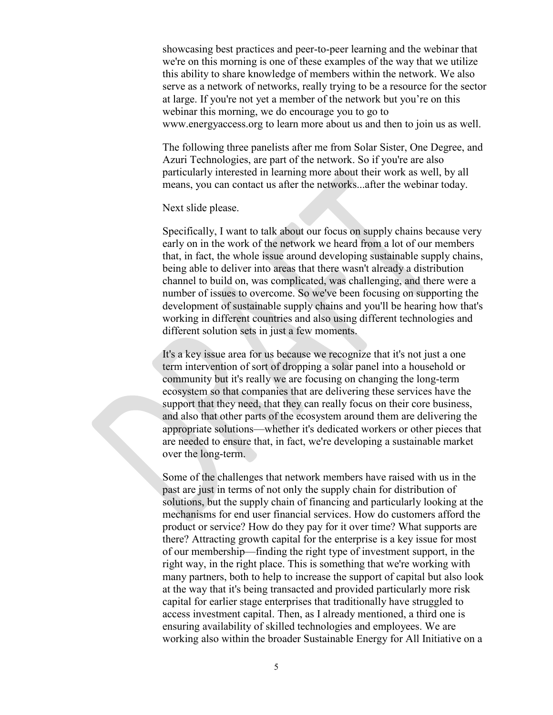showcasing best practices and peer-to-peer learning and the webinar that we're on this morning is one of these examples of the way that we utilize this ability to share knowledge of members within the network. We also serve as a network of networks, really trying to be a resource for the sector at large. If you're not yet a member of the network but you're on this webinar this morning, we do encourage you to go to www.energyaccess.org to learn more about us and then to join us as well.

The following three panelists after me from Solar Sister, One Degree, and Azuri Technologies, are part of the network. So if you're are also particularly interested in learning more about their work as well, by all means, you can contact us after the networks...after the webinar today.

#### Next slide please.

Specifically, I want to talk about our focus on supply chains because very early on in the work of the network we heard from a lot of our members that, in fact, the whole issue around developing sustainable supply chains, being able to deliver into areas that there wasn't already a distribution channel to build on, was complicated, was challenging, and there were a number of issues to overcome. So we've been focusing on supporting the development of sustainable supply chains and you'll be hearing how that's working in different countries and also using different technologies and different solution sets in just a few moments.

It's a key issue area for us because we recognize that it's not just a one term intervention of sort of dropping a solar panel into a household or community but it's really we are focusing on changing the long-term ecosystem so that companies that are delivering these services have the support that they need, that they can really focus on their core business, and also that other parts of the ecosystem around them are delivering the appropriate solutions—whether it's dedicated workers or other pieces that are needed to ensure that, in fact, we're developing a sustainable market over the long-term.

Some of the challenges that network members have raised with us in the past are just in terms of not only the supply chain for distribution of solutions, but the supply chain of financing and particularly looking at the mechanisms for end user financial services. How do customers afford the product or service? How do they pay for it over time? What supports are there? Attracting growth capital for the enterprise is a key issue for most of our membership—finding the right type of investment support, in the right way, in the right place. This is something that we're working with many partners, both to help to increase the support of capital but also look at the way that it's being transacted and provided particularly more risk capital for earlier stage enterprises that traditionally have struggled to access investment capital. Then, as I already mentioned, a third one is ensuring availability of skilled technologies and employees. We are working also within the broader Sustainable Energy for All Initiative on a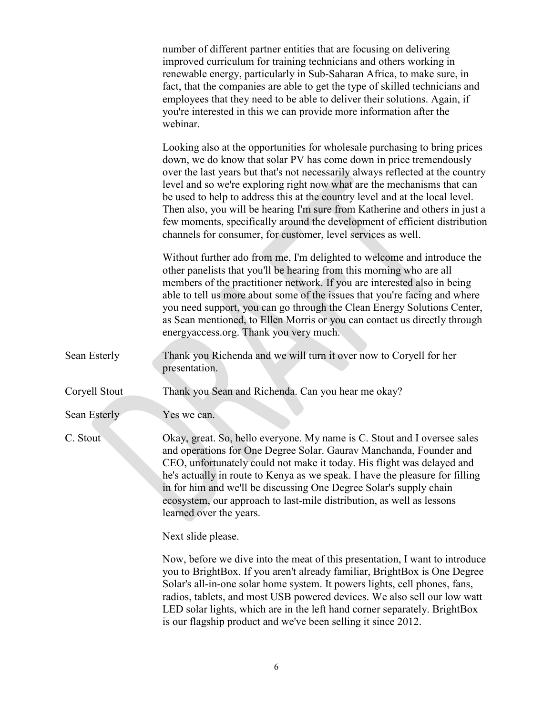|               | number of different partner entities that are focusing on delivering<br>improved curriculum for training technicians and others working in<br>renewable energy, particularly in Sub-Saharan Africa, to make sure, in<br>fact, that the companies are able to get the type of skilled technicians and<br>employees that they need to be able to deliver their solutions. Again, if<br>you're interested in this we can provide more information after the<br>webinar.                                                                                                                                                       |
|---------------|----------------------------------------------------------------------------------------------------------------------------------------------------------------------------------------------------------------------------------------------------------------------------------------------------------------------------------------------------------------------------------------------------------------------------------------------------------------------------------------------------------------------------------------------------------------------------------------------------------------------------|
|               | Looking also at the opportunities for wholesale purchasing to bring prices<br>down, we do know that solar PV has come down in price tremendously<br>over the last years but that's not necessarily always reflected at the country<br>level and so we're exploring right now what are the mechanisms that can<br>be used to help to address this at the country level and at the local level.<br>Then also, you will be hearing I'm sure from Katherine and others in just a<br>few moments, specifically around the development of efficient distribution<br>channels for consumer, for customer, level services as well. |
|               | Without further ado from me, I'm delighted to welcome and introduce the<br>other panelists that you'll be hearing from this morning who are all<br>members of the practitioner network. If you are interested also in being<br>able to tell us more about some of the issues that you're facing and where<br>you need support, you can go through the Clean Energy Solutions Center,<br>as Sean mentioned, to Ellen Morris or you can contact us directly through<br>energyaccess.org. Thank you very much.                                                                                                                |
| Sean Esterly  | Thank you Richenda and we will turn it over now to Coryell for her<br>presentation.                                                                                                                                                                                                                                                                                                                                                                                                                                                                                                                                        |
| Coryell Stout | Thank you Sean and Richenda. Can you hear me okay?                                                                                                                                                                                                                                                                                                                                                                                                                                                                                                                                                                         |
| Sean Esterly  | Yes we can.                                                                                                                                                                                                                                                                                                                                                                                                                                                                                                                                                                                                                |
| C. Stout      | Okay, great. So, hello everyone. My name is C. Stout and I oversee sales<br>and operations for One Degree Solar. Gaurav Manchanda, Founder and<br>CEO, unfortunately could not make it today. His flight was delayed and<br>he's actually in route to Kenya as we speak. I have the pleasure for filling<br>in for him and we'll be discussing One Degree Solar's supply chain<br>ecosystem, our approach to last-mile distribution, as well as lessons<br>learned over the years.                                                                                                                                         |
|               | Next slide please.                                                                                                                                                                                                                                                                                                                                                                                                                                                                                                                                                                                                         |
|               | Now, before we dive into the meat of this presentation, I want to introduce<br>you to BrightBox. If you aren't already familiar, BrightBox is One Degree<br>Solar's all-in-one solar home system. It powers lights, cell phones, fans,<br>radios, tablets, and most USB powered devices. We also sell our low watt<br>LED solar lights, which are in the left hand corner separately. BrightBox                                                                                                                                                                                                                            |

is our flagship product and we've been selling it since 2012.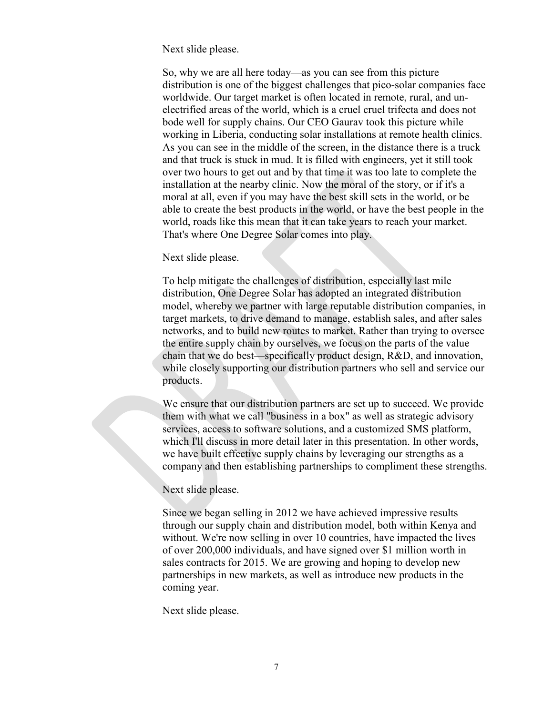Next slide please.

So, why we are all here today—as you can see from this picture distribution is one of the biggest challenges that pico-solar companies face worldwide. Our target market is often located in remote, rural, and unelectrified areas of the world, which is a cruel cruel trifecta and does not bode well for supply chains. Our CEO Gaurav took this picture while working in Liberia, conducting solar installations at remote health clinics. As you can see in the middle of the screen, in the distance there is a truck and that truck is stuck in mud. It is filled with engineers, yet it still took over two hours to get out and by that time it was too late to complete the installation at the nearby clinic. Now the moral of the story, or if it's a moral at all, even if you may have the best skill sets in the world, or be able to create the best products in the world, or have the best people in the world, roads like this mean that it can take years to reach your market. That's where One Degree Solar comes into play.

# Next slide please.

To help mitigate the challenges of distribution, especially last mile distribution, One Degree Solar has adopted an integrated distribution model, whereby we partner with large reputable distribution companies, in target markets, to drive demand to manage, establish sales, and after sales networks, and to build new routes to market. Rather than trying to oversee the entire supply chain by ourselves, we focus on the parts of the value chain that we do best—specifically product design, R&D, and innovation, while closely supporting our distribution partners who sell and service our products.

We ensure that our distribution partners are set up to succeed. We provide them with what we call "business in a box" as well as strategic advisory services, access to software solutions, and a customized SMS platform, which I'll discuss in more detail later in this presentation. In other words, we have built effective supply chains by leveraging our strengths as a company and then establishing partnerships to compliment these strengths.

# Next slide please.

Since we began selling in 2012 we have achieved impressive results through our supply chain and distribution model, both within Kenya and without. We're now selling in over 10 countries, have impacted the lives of over 200,000 individuals, and have signed over \$1 million worth in sales contracts for 2015. We are growing and hoping to develop new partnerships in new markets, as well as introduce new products in the coming year.

Next slide please.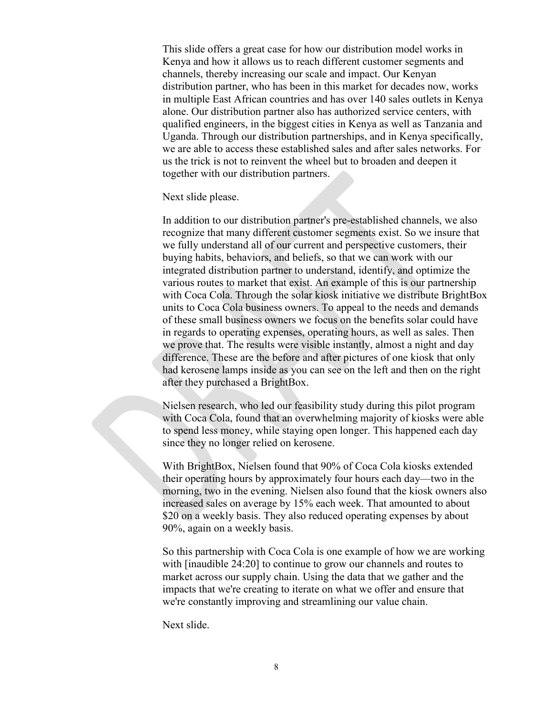This slide offers a great case for how our distribution model works in Kenya and how it allows us to reach different customer segments and channels, thereby increasing our scale and impact. Our Kenyan distribution partner, who has been in this market for decades now, works in multiple East African countries and has over 140 sales outlets in Kenya alone. Our distribution partner also has authorized service centers, with qualified engineers, in the biggest cities in Kenya as well as Tanzania and Uganda. Through our distribution partnerships, and in Kenya specifically, we are able to access these established sales and after sales networks. For us the trick is not to reinvent the wheel but to broaden and deepen it together with our distribution partners.

Next slide please.

In addition to our distribution partner's pre-established channels, we also recognize that many different customer segments exist. So we insure that we fully understand all of our current and perspective customers, their buying habits, behaviors, and beliefs, so that we can work with our integrated distribution partner to understand, identify, and optimize the various routes to market that exist. An example of this is our partnership with Coca Cola. Through the solar kiosk initiative we distribute BrightBox units to Coca Cola business owners. To appeal to the needs and demands of these small business owners we focus on the benefits solar could have in regards to operating expenses, operating hours, as well as sales. Then we prove that. The results were visible instantly, almost a night and day difference. These are the before and after pictures of one kiosk that only had kerosene lamps inside as you can see on the left and then on the right after they purchased a BrightBox.

Nielsen research, who led our feasibility study during this pilot program with Coca Cola, found that an overwhelming majority of kiosks were able to spend less money, while staying open longer. This happened each day since they no longer relied on kerosene.

With BrightBox, Nielsen found that 90% of Coca Cola kiosks extended their operating hours by approximately four hours each day—two in the morning, two in the evening. Nielsen also found that the kiosk owners also increased sales on average by 15% each week. That amounted to about \$20 on a weekly basis. They also reduced operating expenses by about 90%, again on a weekly basis.

So this partnership with Coca Cola is one example of how we are working with [inaudible 24:20] to continue to grow our channels and routes to market across our supply chain. Using the data that we gather and the impacts that we're creating to iterate on what we offer and ensure that we're constantly improving and streamlining our value chain.

Next slide.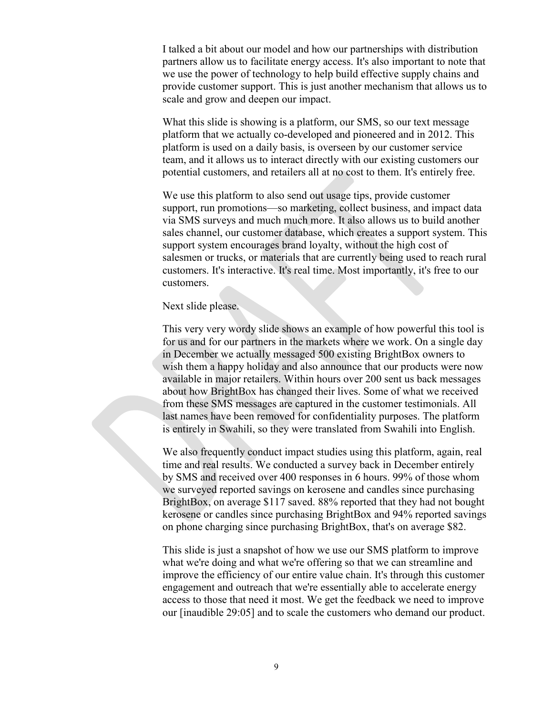I talked a bit about our model and how our partnerships with distribution partners allow us to facilitate energy access. It's also important to note that we use the power of technology to help build effective supply chains and provide customer support. This is just another mechanism that allows us to scale and grow and deepen our impact.

What this slide is showing is a platform, our SMS, so our text message platform that we actually co-developed and pioneered and in 2012. This platform is used on a daily basis, is overseen by our customer service team, and it allows us to interact directly with our existing customers our potential customers, and retailers all at no cost to them. It's entirely free.

We use this platform to also send out usage tips, provide customer support, run promotions—so marketing, collect business, and impact data via SMS surveys and much much more. It also allows us to build another sales channel, our customer database, which creates a support system. This support system encourages brand loyalty, without the high cost of salesmen or trucks, or materials that are currently being used to reach rural customers. It's interactive. It's real time. Most importantly, it's free to our customers.

#### Next slide please.

This very very wordy slide shows an example of how powerful this tool is for us and for our partners in the markets where we work. On a single day in December we actually messaged 500 existing BrightBox owners to wish them a happy holiday and also announce that our products were now available in major retailers. Within hours over 200 sent us back messages about how BrightBox has changed their lives. Some of what we received from these SMS messages are captured in the customer testimonials. All last names have been removed for confidentiality purposes. The platform is entirely in Swahili, so they were translated from Swahili into English.

We also frequently conduct impact studies using this platform, again, real time and real results. We conducted a survey back in December entirely by SMS and received over 400 responses in 6 hours. 99% of those whom we surveyed reported savings on kerosene and candles since purchasing BrightBox, on average \$117 saved. 88% reported that they had not bought kerosene or candles since purchasing BrightBox and 94% reported savings on phone charging since purchasing BrightBox, that's on average \$82.

This slide is just a snapshot of how we use our SMS platform to improve what we're doing and what we're offering so that we can streamline and improve the efficiency of our entire value chain. It's through this customer engagement and outreach that we're essentially able to accelerate energy access to those that need it most. We get the feedback we need to improve our [inaudible 29:05] and to scale the customers who demand our product.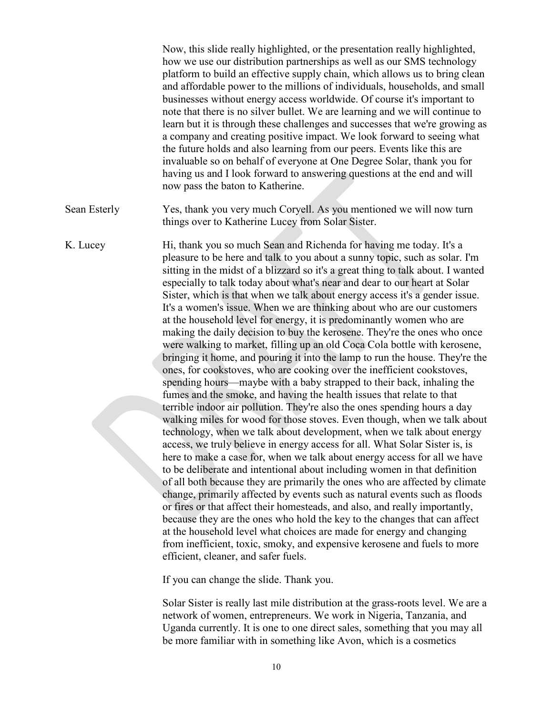Now, this slide really highlighted, or the presentation really highlighted, how we use our distribution partnerships as well as our SMS technology platform to build an effective supply chain, which allows us to bring clean and affordable power to the millions of individuals, households, and small businesses without energy access worldwide. Of course it's important to note that there is no silver bullet. We are learning and we will continue to learn but it is through these challenges and successes that we're growing as a company and creating positive impact. We look forward to seeing what the future holds and also learning from our peers. Events like this are invaluable so on behalf of everyone at One Degree Solar, thank you for having us and I look forward to answering questions at the end and will now pass the baton to Katherine.

Sean Esterly Yes, thank you very much Coryell. As you mentioned we will now turn things over to Katherine Lucey from Solar Sister.

K. Lucey Hi, thank you so much Sean and Richenda for having me today. It's a pleasure to be here and talk to you about a sunny topic, such as solar. I'm sitting in the midst of a blizzard so it's a great thing to talk about. I wanted especially to talk today about what's near and dear to our heart at Solar Sister, which is that when we talk about energy access it's a gender issue. It's a women's issue. When we are thinking about who are our customers at the household level for energy, it is predominantly women who are making the daily decision to buy the kerosene. They're the ones who once were walking to market, filling up an old Coca Cola bottle with kerosene, bringing it home, and pouring it into the lamp to run the house. They're the ones, for cookstoves, who are cooking over the inefficient cookstoves, spending hours—maybe with a baby strapped to their back, inhaling the fumes and the smoke, and having the health issues that relate to that terrible indoor air pollution. They're also the ones spending hours a day walking miles for wood for those stoves. Even though, when we talk about technology, when we talk about development, when we talk about energy access, we truly believe in energy access for all. What Solar Sister is, is here to make a case for, when we talk about energy access for all we have to be deliberate and intentional about including women in that definition of all both because they are primarily the ones who are affected by climate change, primarily affected by events such as natural events such as floods or fires or that affect their homesteads, and also, and really importantly, because they are the ones who hold the key to the changes that can affect at the household level what choices are made for energy and changing from inefficient, toxic, smoky, and expensive kerosene and fuels to more efficient, cleaner, and safer fuels.

If you can change the slide. Thank you.

Solar Sister is really last mile distribution at the grass-roots level. We are a network of women, entrepreneurs. We work in Nigeria, Tanzania, and Uganda currently. It is one to one direct sales, something that you may all be more familiar with in something like Avon, which is a cosmetics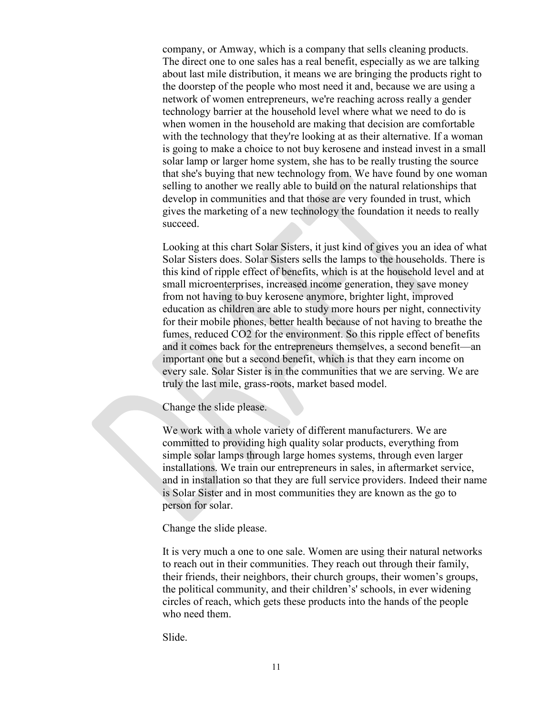company, or Amway, which is a company that sells cleaning products. The direct one to one sales has a real benefit, especially as we are talking about last mile distribution, it means we are bringing the products right to the doorstep of the people who most need it and, because we are using a network of women entrepreneurs, we're reaching across really a gender technology barrier at the household level where what we need to do is when women in the household are making that decision are comfortable with the technology that they're looking at as their alternative. If a woman is going to make a choice to not buy kerosene and instead invest in a small solar lamp or larger home system, she has to be really trusting the source that she's buying that new technology from. We have found by one woman selling to another we really able to build on the natural relationships that develop in communities and that those are very founded in trust, which gives the marketing of a new technology the foundation it needs to really succeed.

Looking at this chart Solar Sisters, it just kind of gives you an idea of what Solar Sisters does. Solar Sisters sells the lamps to the households. There is this kind of ripple effect of benefits, which is at the household level and at small microenterprises, increased income generation, they save money from not having to buy kerosene anymore, brighter light, improved education as children are able to study more hours per night, connectivity for their mobile phones, better health because of not having to breathe the fumes, reduced CO2 for the environment. So this ripple effect of benefits and it comes back for the entrepreneurs themselves, a second benefit—an important one but a second benefit, which is that they earn income on every sale. Solar Sister is in the communities that we are serving. We are truly the last mile, grass-roots, market based model.

Change the slide please.

We work with a whole variety of different manufacturers. We are committed to providing high quality solar products, everything from simple solar lamps through large homes systems, through even larger installations. We train our entrepreneurs in sales, in aftermarket service, and in installation so that they are full service providers. Indeed their name is Solar Sister and in most communities they are known as the go to person for solar.

Change the slide please.

It is very much a one to one sale. Women are using their natural networks to reach out in their communities. They reach out through their family, their friends, their neighbors, their church groups, their women's groups, the political community, and their children's' schools, in ever widening circles of reach, which gets these products into the hands of the people who need them.

Slide.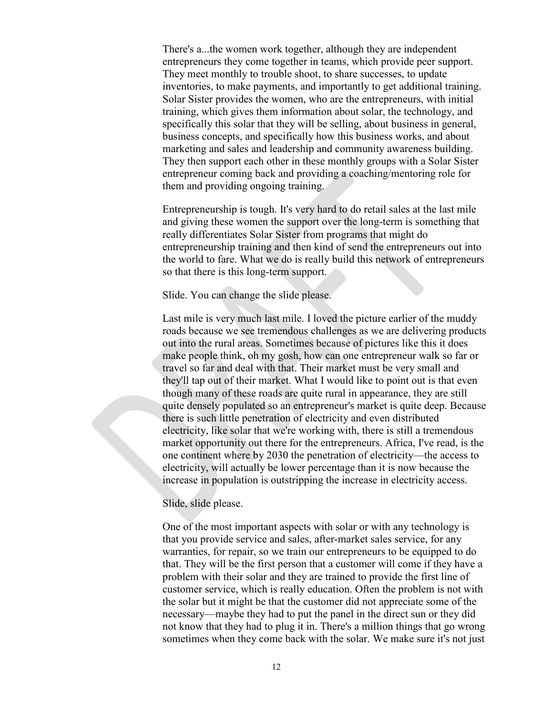There's a...the women work together, although they are independent entrepreneurs they come together in teams, which provide peer support. They meet monthly to trouble shoot, to share successes, to update inventories, to make payments, and importantly to get additional training. Solar Sister provides the women, who are the entrepreneurs, with initial training, which gives them information about solar, the technology, and specifically this solar that they will be selling, about business in general, business concepts, and specifically how this business works, and about marketing and sales and leadership and community awareness building. They then support each other in these monthly groups with a Solar Sister entrepreneur coming back and providing a coaching/mentoring role for them and providing ongoing training.

Entrepreneurship is tough. It's very hard to do retail sales at the last mile and giving these women the support over the long-term is something that really differentiates Solar Sister from programs that might do entrepreneurship training and then kind of send the entrepreneurs out into the world to fare. What we do is really build this network of entrepreneurs so that there is this long-term support.

# Slide. You can change the slide please.

Last mile is very much last mile. I loved the picture earlier of the muddy roads because we see tremendous challenges as we are delivering products out into the rural areas. Sometimes because of pictures like this it does make people think, oh my gosh, how can one entrepreneur walk so far or travel so far and deal with that. Their market must be very small and they'll tap out of their market. What I would like to point out is that even though many of these roads are quite rural in appearance, they are still quite densely populated so an entrepreneur's market is quite deep. Because there is such little penetration of electricity and even distributed electricity, like solar that we're working with, there is still a tremendous market opportunity out there for the entrepreneurs. Africa, I've read, is the one continent where by 2030 the penetration of electricity—the access to electricity, will actually be lower percentage than it is now because the increase in population is outstripping the increase in electricity access.

## Slide, slide please.

One of the most important aspects with solar or with any technology is that you provide service and sales, after-market sales service, for any warranties, for repair, so we train our entrepreneurs to be equipped to do that. They will be the first person that a customer will come if they have a problem with their solar and they are trained to provide the first line of customer service, which is really education. Often the problem is not with the solar but it might be that the customer did not appreciate some of the necessary—maybe they had to put the panel in the direct sun or they did not know that they had to plug it in. There's a million things that go wrong sometimes when they come back with the solar. We make sure it's not just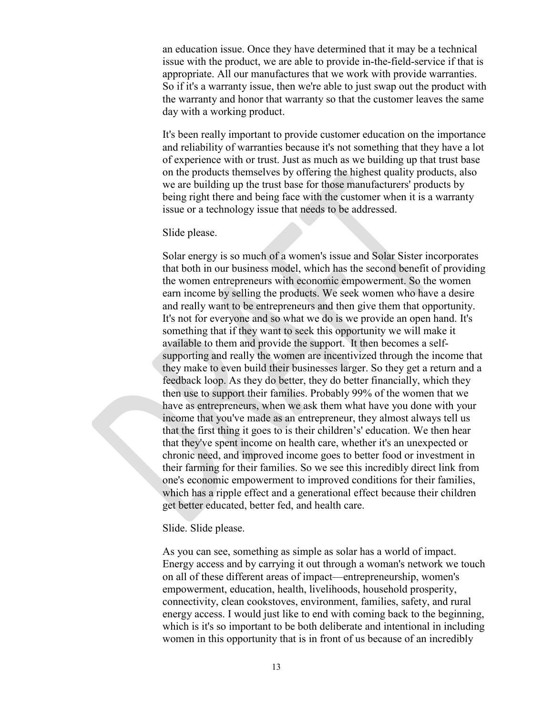an education issue. Once they have determined that it may be a technical issue with the product, we are able to provide in-the-field-service if that is appropriate. All our manufactures that we work with provide warranties. So if it's a warranty issue, then we're able to just swap out the product with the warranty and honor that warranty so that the customer leaves the same day with a working product.

It's been really important to provide customer education on the importance and reliability of warranties because it's not something that they have a lot of experience with or trust. Just as much as we building up that trust base on the products themselves by offering the highest quality products, also we are building up the trust base for those manufacturers' products by being right there and being face with the customer when it is a warranty issue or a technology issue that needs to be addressed.

#### Slide please.

Solar energy is so much of a women's issue and Solar Sister incorporates that both in our business model, which has the second benefit of providing the women entrepreneurs with economic empowerment. So the women earn income by selling the products. We seek women who have a desire and really want to be entrepreneurs and then give them that opportunity. It's not for everyone and so what we do is we provide an open hand. It's something that if they want to seek this opportunity we will make it available to them and provide the support. It then becomes a selfsupporting and really the women are incentivized through the income that they make to even build their businesses larger. So they get a return and a feedback loop. As they do better, they do better financially, which they then use to support their families. Probably 99% of the women that we have as entrepreneurs, when we ask them what have you done with your income that you've made as an entrepreneur, they almost always tell us that the first thing it goes to is their children's' education. We then hear that they've spent income on health care, whether it's an unexpected or chronic need, and improved income goes to better food or investment in their farming for their families. So we see this incredibly direct link from one's economic empowerment to improved conditions for their families, which has a ripple effect and a generational effect because their children get better educated, better fed, and health care.

#### Slide. Slide please.

As you can see, something as simple as solar has a world of impact. Energy access and by carrying it out through a woman's network we touch on all of these different areas of impact—entrepreneurship, women's empowerment, education, health, livelihoods, household prosperity, connectivity, clean cookstoves, environment, families, safety, and rural energy access. I would just like to end with coming back to the beginning, which is it's so important to be both deliberate and intentional in including women in this opportunity that is in front of us because of an incredibly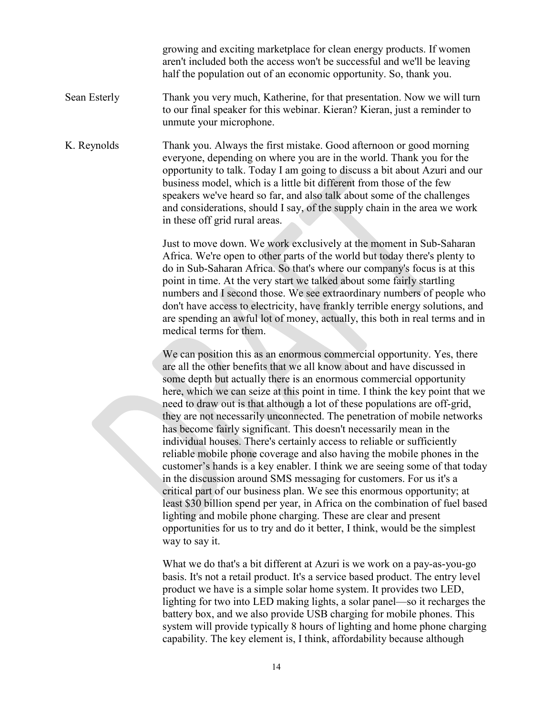growing and exciting marketplace for clean energy products. If women aren't included both the access won't be successful and we'll be leaving half the population out of an economic opportunity. So, thank you.

- Sean Esterly Thank you very much, Katherine, for that presentation. Now we will turn to our final speaker for this webinar. Kieran? Kieran, just a reminder to unmute your microphone.
- K. Reynolds Thank you. Always the first mistake. Good afternoon or good morning everyone, depending on where you are in the world. Thank you for the opportunity to talk. Today I am going to discuss a bit about Azuri and our business model, which is a little bit different from those of the few speakers we've heard so far, and also talk about some of the challenges and considerations, should I say, of the supply chain in the area we work in these off grid rural areas.

Just to move down. We work exclusively at the moment in Sub-Saharan Africa. We're open to other parts of the world but today there's plenty to do in Sub-Saharan Africa. So that's where our company's focus is at this point in time. At the very start we talked about some fairly startling numbers and I second those. We see extraordinary numbers of people who don't have access to electricity, have frankly terrible energy solutions, and are spending an awful lot of money, actually, this both in real terms and in medical terms for them.

We can position this as an enormous commercial opportunity. Yes, there are all the other benefits that we all know about and have discussed in some depth but actually there is an enormous commercial opportunity here, which we can seize at this point in time. I think the key point that we need to draw out is that although a lot of these populations are off-grid, they are not necessarily unconnected. The penetration of mobile networks has become fairly significant. This doesn't necessarily mean in the individual houses. There's certainly access to reliable or sufficiently reliable mobile phone coverage and also having the mobile phones in the customer's hands is a key enabler. I think we are seeing some of that today in the discussion around SMS messaging for customers. For us it's a critical part of our business plan. We see this enormous opportunity; at least \$30 billion spend per year, in Africa on the combination of fuel based lighting and mobile phone charging. These are clear and present opportunities for us to try and do it better, I think, would be the simplest way to say it.

What we do that's a bit different at Azuri is we work on a pay-as-you-go basis. It's not a retail product. It's a service based product. The entry level product we have is a simple solar home system. It provides two LED, lighting for two into LED making lights, a solar panel—so it recharges the battery box, and we also provide USB charging for mobile phones. This system will provide typically 8 hours of lighting and home phone charging capability. The key element is, I think, affordability because although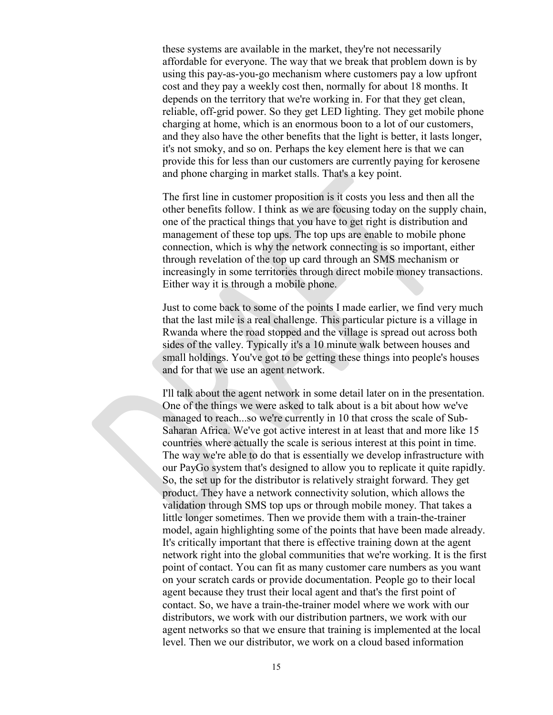these systems are available in the market, they're not necessarily affordable for everyone. The way that we break that problem down is by using this pay-as-you-go mechanism where customers pay a low upfront cost and they pay a weekly cost then, normally for about 18 months. It depends on the territory that we're working in. For that they get clean, reliable, off-grid power. So they get LED lighting. They get mobile phone charging at home, which is an enormous boon to a lot of our customers, and they also have the other benefits that the light is better, it lasts longer, it's not smoky, and so on. Perhaps the key element here is that we can provide this for less than our customers are currently paying for kerosene and phone charging in market stalls. That's a key point.

The first line in customer proposition is it costs you less and then all the other benefits follow. I think as we are focusing today on the supply chain, one of the practical things that you have to get right is distribution and management of these top ups. The top ups are enable to mobile phone connection, which is why the network connecting is so important, either through revelation of the top up card through an SMS mechanism or increasingly in some territories through direct mobile money transactions. Either way it is through a mobile phone.

Just to come back to some of the points I made earlier, we find very much that the last mile is a real challenge. This particular picture is a village in Rwanda where the road stopped and the village is spread out across both sides of the valley. Typically it's a 10 minute walk between houses and small holdings. You've got to be getting these things into people's houses and for that we use an agent network.

I'll talk about the agent network in some detail later on in the presentation. One of the things we were asked to talk about is a bit about how we've managed to reach...so we're currently in 10 that cross the scale of Sub-Saharan Africa. We've got active interest in at least that and more like 15 countries where actually the scale is serious interest at this point in time. The way we're able to do that is essentially we develop infrastructure with our PayGo system that's designed to allow you to replicate it quite rapidly. So, the set up for the distributor is relatively straight forward. They get product. They have a network connectivity solution, which allows the validation through SMS top ups or through mobile money. That takes a little longer sometimes. Then we provide them with a train-the-trainer model, again highlighting some of the points that have been made already. It's critically important that there is effective training down at the agent network right into the global communities that we're working. It is the first point of contact. You can fit as many customer care numbers as you want on your scratch cards or provide documentation. People go to their local agent because they trust their local agent and that's the first point of contact. So, we have a train-the-trainer model where we work with our distributors, we work with our distribution partners, we work with our agent networks so that we ensure that training is implemented at the local level. Then we our distributor, we work on a cloud based information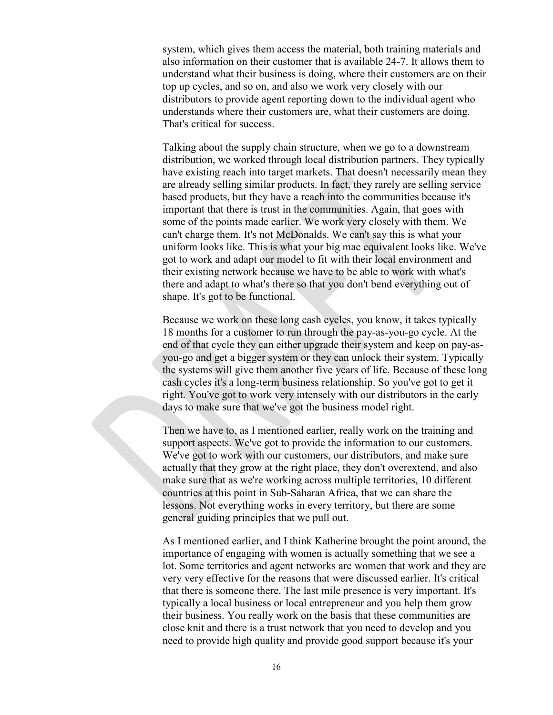system, which gives them access the material, both training materials and also information on their customer that is available 24-7. It allows them to understand what their business is doing, where their customers are on their top up cycles, and so on, and also we work very closely with our distributors to provide agent reporting down to the individual agent who understands where their customers are, what their customers are doing. That's critical for success.

Talking about the supply chain structure, when we go to a downstream distribution, we worked through local distribution partners. They typically have existing reach into target markets. That doesn't necessarily mean they are already selling similar products. In fact, they rarely are selling service based products, but they have a reach into the communities because it's important that there is trust in the communities. Again, that goes with some of the points made earlier. We work very closely with them. We can't charge them. It's not McDonalds. We can't say this is what your uniform looks like. This is what your big mac equivalent looks like. We've got to work and adapt our model to fit with their local environment and their existing network because we have to be able to work with what's there and adapt to what's there so that you don't bend everything out of shape. It's got to be functional.

Because we work on these long cash cycles, you know, it takes typically 18 months for a customer to run through the pay-as-you-go cycle. At the end of that cycle they can either upgrade their system and keep on pay-asyou-go and get a bigger system or they can unlock their system. Typically the systems will give them another five years of life. Because of these long cash cycles it's a long-term business relationship. So you've got to get it right. You've got to work very intensely with our distributors in the early days to make sure that we've got the business model right.

Then we have to, as I mentioned earlier, really work on the training and support aspects. We've got to provide the information to our customers. We've got to work with our customers, our distributors, and make sure actually that they grow at the right place, they don't overextend, and also make sure that as we're working across multiple territories, 10 different countries at this point in Sub-Saharan Africa, that we can share the lessons. Not everything works in every territory, but there are some general guiding principles that we pull out.

As I mentioned earlier, and I think Katherine brought the point around, the importance of engaging with women is actually something that we see a lot. Some territories and agent networks are women that work and they are very very effective for the reasons that were discussed earlier. It's critical that there is someone there. The last mile presence is very important. It's typically a local business or local entrepreneur and you help them grow their business. You really work on the basis that these communities are close knit and there is a trust network that you need to develop and you need to provide high quality and provide good support because it's your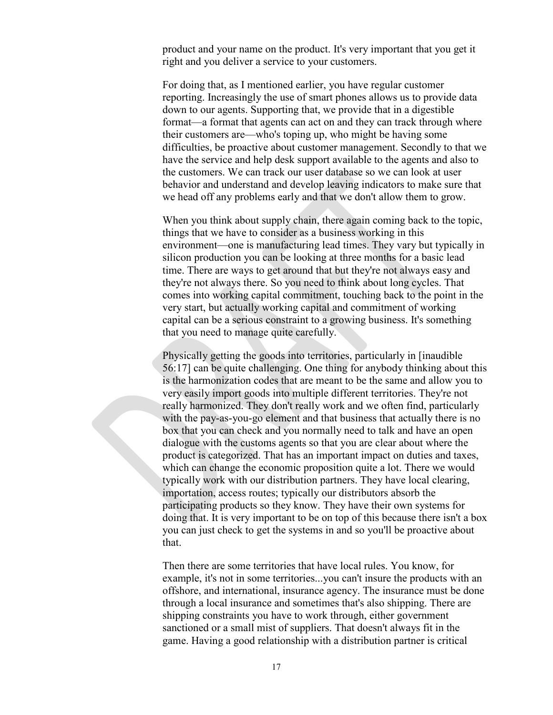product and your name on the product. It's very important that you get it right and you deliver a service to your customers.

For doing that, as I mentioned earlier, you have regular customer reporting. Increasingly the use of smart phones allows us to provide data down to our agents. Supporting that, we provide that in a digestible format—a format that agents can act on and they can track through where their customers are—who's toping up, who might be having some difficulties, be proactive about customer management. Secondly to that we have the service and help desk support available to the agents and also to the customers. We can track our user database so we can look at user behavior and understand and develop leaving indicators to make sure that we head off any problems early and that we don't allow them to grow.

When you think about supply chain, there again coming back to the topic, things that we have to consider as a business working in this environment—one is manufacturing lead times. They vary but typically in silicon production you can be looking at three months for a basic lead time. There are ways to get around that but they're not always easy and they're not always there. So you need to think about long cycles. That comes into working capital commitment, touching back to the point in the very start, but actually working capital and commitment of working capital can be a serious constraint to a growing business. It's something that you need to manage quite carefully.

Physically getting the goods into territories, particularly in [inaudible 56:17] can be quite challenging. One thing for anybody thinking about this is the harmonization codes that are meant to be the same and allow you to very easily import goods into multiple different territories. They're not really harmonized. They don't really work and we often find, particularly with the pay-as-you-go element and that business that actually there is no box that you can check and you normally need to talk and have an open dialogue with the customs agents so that you are clear about where the product is categorized. That has an important impact on duties and taxes, which can change the economic proposition quite a lot. There we would typically work with our distribution partners. They have local clearing, importation, access routes; typically our distributors absorb the participating products so they know. They have their own systems for doing that. It is very important to be on top of this because there isn't a box you can just check to get the systems in and so you'll be proactive about that.

Then there are some territories that have local rules. You know, for example, it's not in some territories...you can't insure the products with an offshore, and international, insurance agency. The insurance must be done through a local insurance and sometimes that's also shipping. There are shipping constraints you have to work through, either government sanctioned or a small mist of suppliers. That doesn't always fit in the game. Having a good relationship with a distribution partner is critical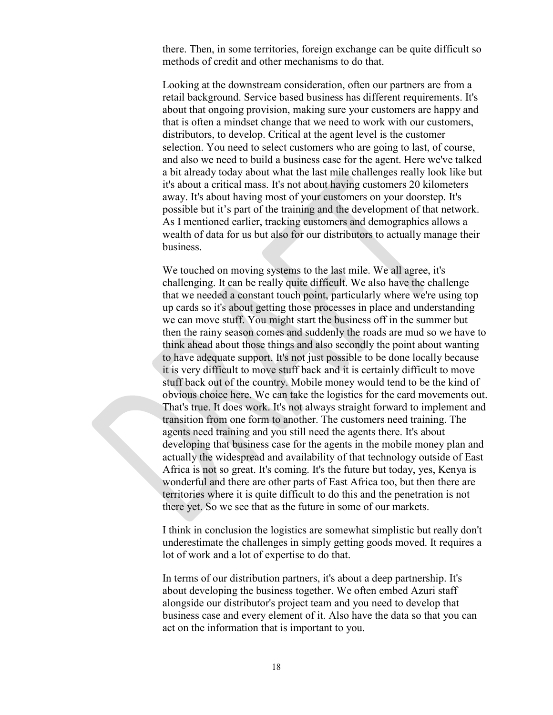there. Then, in some territories, foreign exchange can be quite difficult so methods of credit and other mechanisms to do that.

Looking at the downstream consideration, often our partners are from a retail background. Service based business has different requirements. It's about that ongoing provision, making sure your customers are happy and that is often a mindset change that we need to work with our customers, distributors, to develop. Critical at the agent level is the customer selection. You need to select customers who are going to last, of course, and also we need to build a business case for the agent. Here we've talked a bit already today about what the last mile challenges really look like but it's about a critical mass. It's not about having customers 20 kilometers away. It's about having most of your customers on your doorstep. It's possible but it's part of the training and the development of that network. As I mentioned earlier, tracking customers and demographics allows a wealth of data for us but also for our distributors to actually manage their business.

We touched on moving systems to the last mile. We all agree, it's challenging. It can be really quite difficult. We also have the challenge that we needed a constant touch point, particularly where we're using top up cards so it's about getting those processes in place and understanding we can move stuff. You might start the business off in the summer but then the rainy season comes and suddenly the roads are mud so we have to think ahead about those things and also secondly the point about wanting to have adequate support. It's not just possible to be done locally because it is very difficult to move stuff back and it is certainly difficult to move stuff back out of the country. Mobile money would tend to be the kind of obvious choice here. We can take the logistics for the card movements out. That's true. It does work. It's not always straight forward to implement and transition from one form to another. The customers need training. The agents need training and you still need the agents there. It's about developing that business case for the agents in the mobile money plan and actually the widespread and availability of that technology outside of East Africa is not so great. It's coming. It's the future but today, yes, Kenya is wonderful and there are other parts of East Africa too, but then there are territories where it is quite difficult to do this and the penetration is not there yet. So we see that as the future in some of our markets.

I think in conclusion the logistics are somewhat simplistic but really don't underestimate the challenges in simply getting goods moved. It requires a lot of work and a lot of expertise to do that.

In terms of our distribution partners, it's about a deep partnership. It's about developing the business together. We often embed Azuri staff alongside our distributor's project team and you need to develop that business case and every element of it. Also have the data so that you can act on the information that is important to you.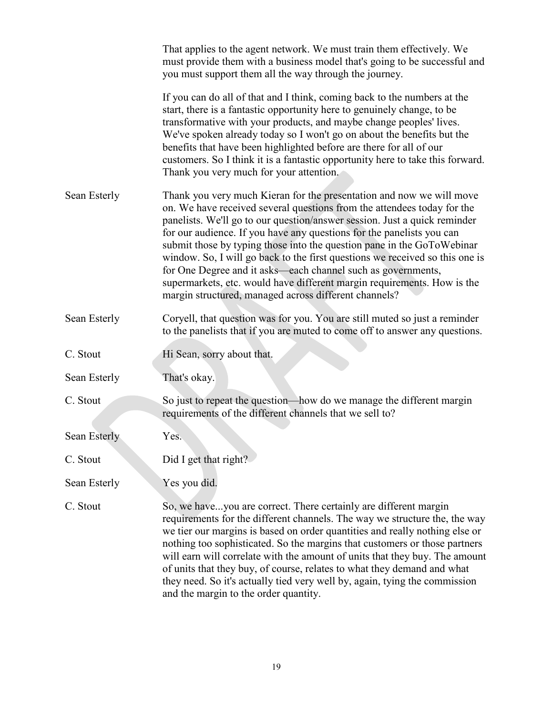|              | That applies to the agent network. We must train them effectively. We<br>must provide them with a business model that's going to be successful and<br>you must support them all the way through the journey.                                                                                                                                                                                                                                                                                                                                                                                                                                                        |
|--------------|---------------------------------------------------------------------------------------------------------------------------------------------------------------------------------------------------------------------------------------------------------------------------------------------------------------------------------------------------------------------------------------------------------------------------------------------------------------------------------------------------------------------------------------------------------------------------------------------------------------------------------------------------------------------|
|              | If you can do all of that and I think, coming back to the numbers at the<br>start, there is a fantastic opportunity here to genuinely change, to be<br>transformative with your products, and maybe change peoples' lives.<br>We've spoken already today so I won't go on about the benefits but the<br>benefits that have been highlighted before are there for all of our<br>customers. So I think it is a fantastic opportunity here to take this forward.<br>Thank you very much for your attention.                                                                                                                                                            |
| Sean Esterly | Thank you very much Kieran for the presentation and now we will move<br>on. We have received several questions from the attendees today for the<br>panelists. We'll go to our question/answer session. Just a quick reminder<br>for our audience. If you have any questions for the panelists you can<br>submit those by typing those into the question pane in the GoToWebinar<br>window. So, I will go back to the first questions we received so this one is<br>for One Degree and it asks—each channel such as governments,<br>supermarkets, etc. would have different margin requirements. How is the<br>margin structured, managed across different channels? |
| Sean Esterly | Coryell, that question was for you. You are still muted so just a reminder<br>to the panelists that if you are muted to come off to answer any questions.                                                                                                                                                                                                                                                                                                                                                                                                                                                                                                           |
| C. Stout     | Hi Sean, sorry about that.                                                                                                                                                                                                                                                                                                                                                                                                                                                                                                                                                                                                                                          |
| Sean Esterly | That's okay.                                                                                                                                                                                                                                                                                                                                                                                                                                                                                                                                                                                                                                                        |
| C. Stout     | So just to repeat the question—how do we manage the different margin<br>requirements of the different channels that we sell to?                                                                                                                                                                                                                                                                                                                                                                                                                                                                                                                                     |
| Sean Esterly | Yes.                                                                                                                                                                                                                                                                                                                                                                                                                                                                                                                                                                                                                                                                |
| C. Stout     | Did I get that right?                                                                                                                                                                                                                                                                                                                                                                                                                                                                                                                                                                                                                                               |
| Sean Esterly | Yes you did.                                                                                                                                                                                                                                                                                                                                                                                                                                                                                                                                                                                                                                                        |
| C. Stout     | So, we haveyou are correct. There certainly are different margin<br>requirements for the different channels. The way we structure the, the way<br>we tier our margins is based on order quantities and really nothing else or<br>nothing too sophisticated. So the margins that customers or those partners<br>will earn will correlate with the amount of units that they buy. The amount<br>of units that they buy, of course, relates to what they demand and what<br>they need. So it's actually tied very well by, again, tying the commission<br>and the margin to the order quantity.                                                                        |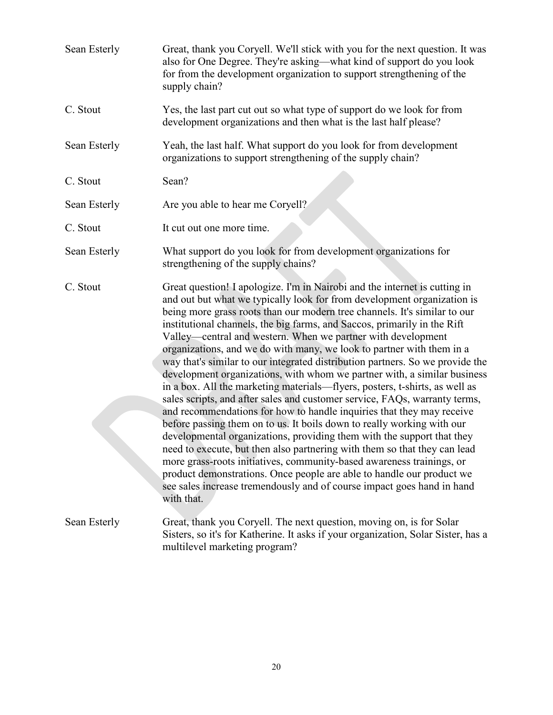| Sean Esterly | Great, thank you Coryell. We'll stick with you for the next question. It was<br>also for One Degree. They're asking—what kind of support do you look<br>for from the development organization to support strengthening of the<br>supply chain?                                                                                                                                                                                                                                                                                                                                                                                                                                                                                                                                                                                                                                                                                                                                                                                                                                                                                                                                                                                                                                                                                        |
|--------------|---------------------------------------------------------------------------------------------------------------------------------------------------------------------------------------------------------------------------------------------------------------------------------------------------------------------------------------------------------------------------------------------------------------------------------------------------------------------------------------------------------------------------------------------------------------------------------------------------------------------------------------------------------------------------------------------------------------------------------------------------------------------------------------------------------------------------------------------------------------------------------------------------------------------------------------------------------------------------------------------------------------------------------------------------------------------------------------------------------------------------------------------------------------------------------------------------------------------------------------------------------------------------------------------------------------------------------------|
| C. Stout     | Yes, the last part cut out so what type of support do we look for from<br>development organizations and then what is the last half please?                                                                                                                                                                                                                                                                                                                                                                                                                                                                                                                                                                                                                                                                                                                                                                                                                                                                                                                                                                                                                                                                                                                                                                                            |
| Sean Esterly | Yeah, the last half. What support do you look for from development<br>organizations to support strengthening of the supply chain?                                                                                                                                                                                                                                                                                                                                                                                                                                                                                                                                                                                                                                                                                                                                                                                                                                                                                                                                                                                                                                                                                                                                                                                                     |
| C. Stout     | Sean?                                                                                                                                                                                                                                                                                                                                                                                                                                                                                                                                                                                                                                                                                                                                                                                                                                                                                                                                                                                                                                                                                                                                                                                                                                                                                                                                 |
| Sean Esterly | Are you able to hear me Coryell?                                                                                                                                                                                                                                                                                                                                                                                                                                                                                                                                                                                                                                                                                                                                                                                                                                                                                                                                                                                                                                                                                                                                                                                                                                                                                                      |
| C. Stout     | It cut out one more time.                                                                                                                                                                                                                                                                                                                                                                                                                                                                                                                                                                                                                                                                                                                                                                                                                                                                                                                                                                                                                                                                                                                                                                                                                                                                                                             |
| Sean Esterly | What support do you look for from development organizations for<br>strengthening of the supply chains?                                                                                                                                                                                                                                                                                                                                                                                                                                                                                                                                                                                                                                                                                                                                                                                                                                                                                                                                                                                                                                                                                                                                                                                                                                |
| C. Stout     | Great question! I apologize. I'm in Nairobi and the internet is cutting in<br>and out but what we typically look for from development organization is<br>being more grass roots than our modern tree channels. It's similar to our<br>institutional channels, the big farms, and Saccos, primarily in the Rift<br>Valley—central and western. When we partner with development<br>organizations, and we do with many, we look to partner with them in a<br>way that's similar to our integrated distribution partners. So we provide the<br>development organizations, with whom we partner with, a similar business<br>in a box. All the marketing materials—flyers, posters, t-shirts, as well as<br>sales scripts, and after sales and customer service, FAQs, warranty terms,<br>and recommendations for how to handle inquiries that they may receive<br>before passing them on to us. It boils down to really working with our<br>developmental organizations, providing them with the support that they<br>need to execute, but then also partnering with them so that they can lead<br>more grass-roots initiatives, community-based awareness trainings, or<br>product demonstrations. Once people are able to handle our product we<br>see sales increase tremendously and of course impact goes hand in hand<br>with that. |
| Sean Esterly | Great, thank you Coryell. The next question, moving on, is for Solar<br>Sisters, so it's for Katherine. It asks if your organization, Solar Sister, has a<br>multilevel marketing program?                                                                                                                                                                                                                                                                                                                                                                                                                                                                                                                                                                                                                                                                                                                                                                                                                                                                                                                                                                                                                                                                                                                                            |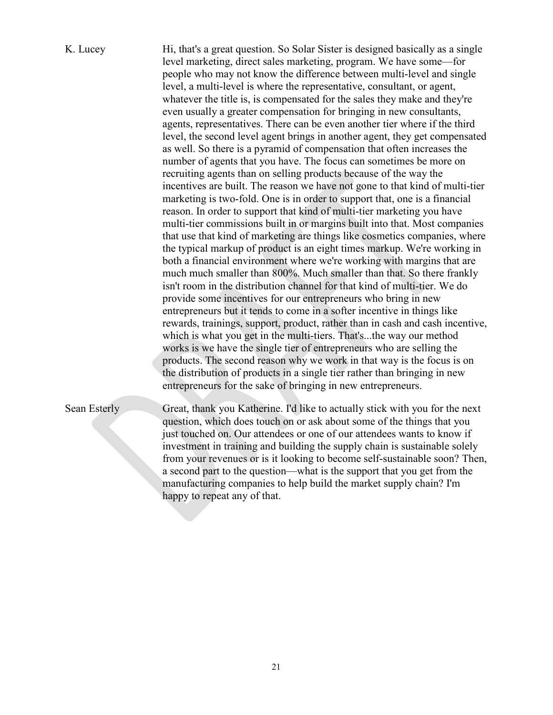# K. Lucey Hi, that's a great question. So Solar Sister is designed basically as a single level marketing, direct sales marketing, program. We have some—for people who may not know the difference between multi-level and single level, a multi-level is where the representative, consultant, or agent, whatever the title is, is compensated for the sales they make and they're even usually a greater compensation for bringing in new consultants, agents, representatives. There can be even another tier where if the third level, the second level agent brings in another agent, they get compensated as well. So there is a pyramid of compensation that often increases the number of agents that you have. The focus can sometimes be more on recruiting agents than on selling products because of the way the incentives are built. The reason we have not gone to that kind of multi-tier marketing is two-fold. One is in order to support that, one is a financial reason. In order to support that kind of multi-tier marketing you have multi-tier commissions built in or margins built into that. Most companies that use that kind of marketing are things like cosmetics companies, where the typical markup of product is an eight times markup. We're working in both a financial environment where we're working with margins that are much much smaller than 800%. Much smaller than that. So there frankly isn't room in the distribution channel for that kind of multi-tier. We do provide some incentives for our entrepreneurs who bring in new entrepreneurs but it tends to come in a softer incentive in things like rewards, trainings, support, product, rather than in cash and cash incentive, which is what you get in the multi-tiers. That's...the way our method works is we have the single tier of entrepreneurs who are selling the products. The second reason why we work in that way is the focus is on the distribution of products in a single tier rather than bringing in new entrepreneurs for the sake of bringing in new entrepreneurs.

Sean Esterly Great, thank you Katherine. I'd like to actually stick with you for the next question, which does touch on or ask about some of the things that you just touched on. Our attendees or one of our attendees wants to know if investment in training and building the supply chain is sustainable solely from your revenues or is it looking to become self-sustainable soon? Then, a second part to the question—what is the support that you get from the manufacturing companies to help build the market supply chain? I'm happy to repeat any of that.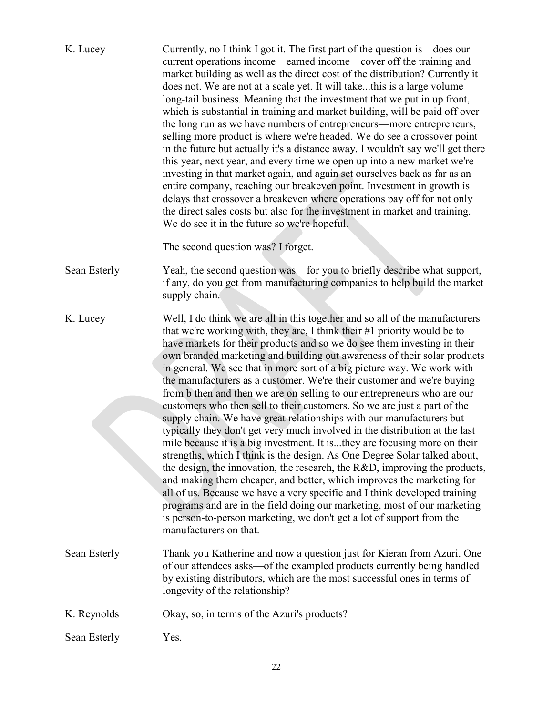| K. Lucey     | Currently, no I think I got it. The first part of the question is—does our<br>current operations income—earned income—cover off the training and<br>market building as well as the direct cost of the distribution? Currently it<br>does not. We are not at a scale yet. It will takethis is a large volume<br>long-tail business. Meaning that the investment that we put in up front,<br>which is substantial in training and market building, will be paid off over<br>the long run as we have numbers of entrepreneurs—more entrepreneurs,<br>selling more product is where we're headed. We do see a crossover point<br>in the future but actually it's a distance away. I wouldn't say we'll get there<br>this year, next year, and every time we open up into a new market we're<br>investing in that market again, and again set ourselves back as far as an<br>entire company, reaching our breakeven point. Investment in growth is<br>delays that crossover a breakeven where operations pay off for not only<br>the direct sales costs but also for the investment in market and training.<br>We do see it in the future so we're hopeful.<br>The second question was? I forget.                                                                                                                                                                     |
|--------------|------------------------------------------------------------------------------------------------------------------------------------------------------------------------------------------------------------------------------------------------------------------------------------------------------------------------------------------------------------------------------------------------------------------------------------------------------------------------------------------------------------------------------------------------------------------------------------------------------------------------------------------------------------------------------------------------------------------------------------------------------------------------------------------------------------------------------------------------------------------------------------------------------------------------------------------------------------------------------------------------------------------------------------------------------------------------------------------------------------------------------------------------------------------------------------------------------------------------------------------------------------------------------------------------------------------------------------------------------------------|
| Sean Esterly | Yeah, the second question was—for you to briefly describe what support,<br>if any, do you get from manufacturing companies to help build the market<br>supply chain.                                                                                                                                                                                                                                                                                                                                                                                                                                                                                                                                                                                                                                                                                                                                                                                                                                                                                                                                                                                                                                                                                                                                                                                             |
| K. Lucey     | Well, I do think we are all in this together and so all of the manufacturers<br>that we're working with, they are, I think their #1 priority would be to<br>have markets for their products and so we do see them investing in their<br>own branded marketing and building out awareness of their solar products<br>in general. We see that in more sort of a big picture way. We work with<br>the manufacturers as a customer. We're their customer and we're buying<br>from b then and then we are on selling to our entrepreneurs who are our<br>customers who then sell to their customers. So we are just a part of the<br>supply chain. We have great relationships with our manufacturers but<br>typically they don't get very much involved in the distribution at the last<br>mile because it is a big investment. It isthey are focusing more on their<br>strengths, which I think is the design. As One Degree Solar talked about,<br>the design, the innovation, the research, the R&D, improving the products,<br>and making them cheaper, and better, which improves the marketing for<br>all of us. Because we have a very specific and I think developed training<br>programs and are in the field doing our marketing, most of our marketing<br>is person-to-person marketing, we don't get a lot of support from the<br>manufacturers on that. |
| Sean Esterly | Thank you Katherine and now a question just for Kieran from Azuri. One<br>of our attendees asks—of the exampled products currently being handled<br>by existing distributors, which are the most successful ones in terms of<br>longevity of the relationship?                                                                                                                                                                                                                                                                                                                                                                                                                                                                                                                                                                                                                                                                                                                                                                                                                                                                                                                                                                                                                                                                                                   |
| K. Reynolds  | Okay, so, in terms of the Azuri's products?                                                                                                                                                                                                                                                                                                                                                                                                                                                                                                                                                                                                                                                                                                                                                                                                                                                                                                                                                                                                                                                                                                                                                                                                                                                                                                                      |
| Sean Esterly | Yes.                                                                                                                                                                                                                                                                                                                                                                                                                                                                                                                                                                                                                                                                                                                                                                                                                                                                                                                                                                                                                                                                                                                                                                                                                                                                                                                                                             |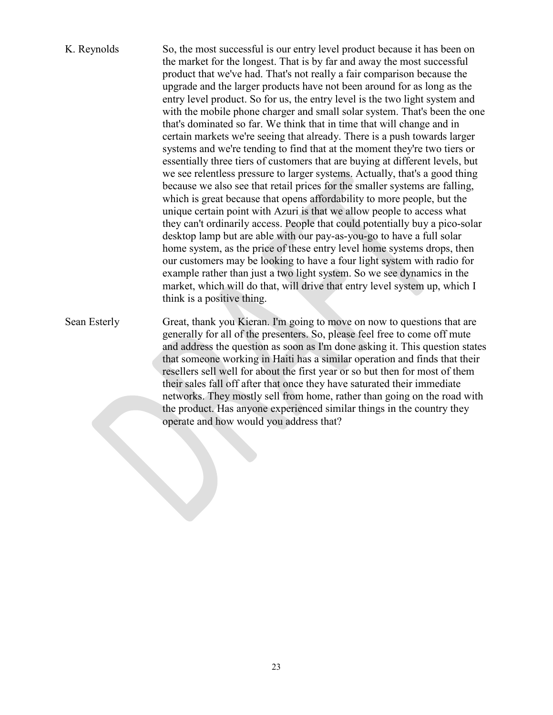- K. Reynolds So, the most successful is our entry level product because it has been on the market for the longest. That is by far and away the most successful product that we've had. That's not really a fair comparison because the upgrade and the larger products have not been around for as long as the entry level product. So for us, the entry level is the two light system and with the mobile phone charger and small solar system. That's been the one that's dominated so far. We think that in time that will change and in certain markets we're seeing that already. There is a push towards larger systems and we're tending to find that at the moment they're two tiers or essentially three tiers of customers that are buying at different levels, but we see relentless pressure to larger systems. Actually, that's a good thing because we also see that retail prices for the smaller systems are falling, which is great because that opens affordability to more people, but the unique certain point with Azuri is that we allow people to access what they can't ordinarily access. People that could potentially buy a pico-solar desktop lamp but are able with our pay-as-you-go to have a full solar home system, as the price of these entry level home systems drops, then our customers may be looking to have a four light system with radio for example rather than just a two light system. So we see dynamics in the market, which will do that, will drive that entry level system up, which I think is a positive thing. Sean Esterly Great, thank you Kieran. I'm going to move on now to questions that are
	- generally for all of the presenters. So, please feel free to come off mute and address the question as soon as I'm done asking it. This question states that someone working in Haiti has a similar operation and finds that their resellers sell well for about the first year or so but then for most of them their sales fall off after that once they have saturated their immediate networks. They mostly sell from home, rather than going on the road with the product. Has anyone experienced similar things in the country they operate and how would you address that?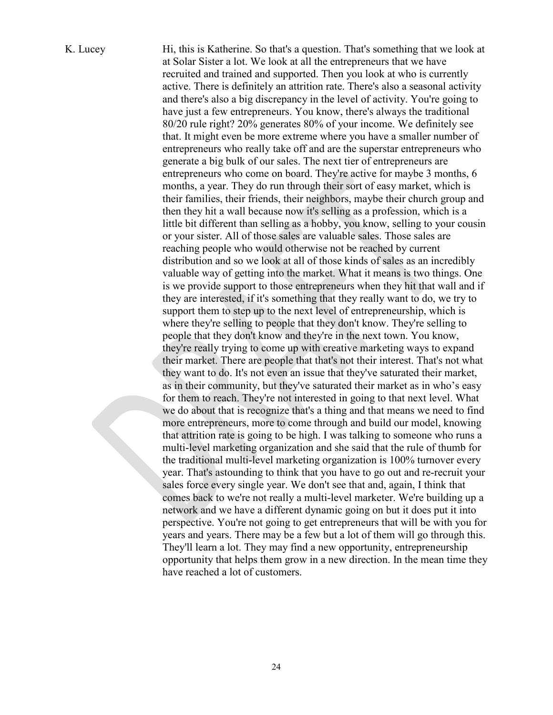K. Lucey Hi, this is Katherine. So that's a question. That's something that we look at at Solar Sister a lot. We look at all the entrepreneurs that we have recruited and trained and supported. Then you look at who is currently active. There is definitely an attrition rate. There's also a seasonal activity and there's also a big discrepancy in the level of activity. You're going to have just a few entrepreneurs. You know, there's always the traditional 80/20 rule right? 20% generates 80% of your income. We definitely see that. It might even be more extreme where you have a smaller number of entrepreneurs who really take off and are the superstar entrepreneurs who generate a big bulk of our sales. The next tier of entrepreneurs are entrepreneurs who come on board. They're active for maybe 3 months, 6 months, a year. They do run through their sort of easy market, which is their families, their friends, their neighbors, maybe their church group and then they hit a wall because now it's selling as a profession, which is a little bit different than selling as a hobby, you know, selling to your cousin or your sister. All of those sales are valuable sales. Those sales are reaching people who would otherwise not be reached by current distribution and so we look at all of those kinds of sales as an incredibly valuable way of getting into the market. What it means is two things. One is we provide support to those entrepreneurs when they hit that wall and if they are interested, if it's something that they really want to do, we try to support them to step up to the next level of entrepreneurship, which is where they're selling to people that they don't know. They're selling to people that they don't know and they're in the next town. You know, they're really trying to come up with creative marketing ways to expand their market. There are people that that's not their interest. That's not what they want to do. It's not even an issue that they've saturated their market, as in their community, but they've saturated their market as in who's easy for them to reach. They're not interested in going to that next level. What we do about that is recognize that's a thing and that means we need to find more entrepreneurs, more to come through and build our model, knowing that attrition rate is going to be high. I was talking to someone who runs a multi-level marketing organization and she said that the rule of thumb for the traditional multi-level marketing organization is 100% turnover every year. That's astounding to think that you have to go out and re-recruit your sales force every single year. We don't see that and, again, I think that comes back to we're not really a multi-level marketer. We're building up a network and we have a different dynamic going on but it does put it into perspective. You're not going to get entrepreneurs that will be with you for years and years. There may be a few but a lot of them will go through this. They'll learn a lot. They may find a new opportunity, entrepreneurship opportunity that helps them grow in a new direction. In the mean time they have reached a lot of customers.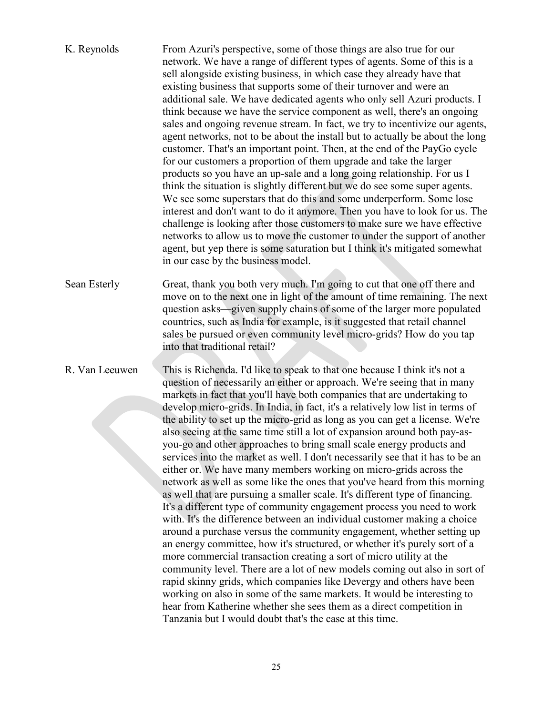| K. Reynolds    | From Azuri's perspective, some of those things are also true for our<br>network. We have a range of different types of agents. Some of this is a<br>sell alongside existing business, in which case they already have that<br>existing business that supports some of their turnover and were an<br>additional sale. We have dedicated agents who only sell Azuri products. I<br>think because we have the service component as well, there's an ongoing<br>sales and ongoing revenue stream. In fact, we try to incentivize our agents,<br>agent networks, not to be about the install but to actually be about the long<br>customer. That's an important point. Then, at the end of the PayGo cycle<br>for our customers a proportion of them upgrade and take the larger<br>products so you have an up-sale and a long going relationship. For us I<br>think the situation is slightly different but we do see some super agents.<br>We see some superstars that do this and some underperform. Some lose<br>interest and don't want to do it anymore. Then you have to look for us. The<br>challenge is looking after those customers to make sure we have effective<br>networks to allow us to move the customer to under the support of another<br>agent, but yep there is some saturation but I think it's mitigated somewhat<br>in our case by the business model.                                                                                                                                                                                                                                                            |
|----------------|---------------------------------------------------------------------------------------------------------------------------------------------------------------------------------------------------------------------------------------------------------------------------------------------------------------------------------------------------------------------------------------------------------------------------------------------------------------------------------------------------------------------------------------------------------------------------------------------------------------------------------------------------------------------------------------------------------------------------------------------------------------------------------------------------------------------------------------------------------------------------------------------------------------------------------------------------------------------------------------------------------------------------------------------------------------------------------------------------------------------------------------------------------------------------------------------------------------------------------------------------------------------------------------------------------------------------------------------------------------------------------------------------------------------------------------------------------------------------------------------------------------------------------------------------------------------------------------------------------------------------------------|
| Sean Esterly   | Great, thank you both very much. I'm going to cut that one off there and<br>move on to the next one in light of the amount of time remaining. The next<br>question asks—given supply chains of some of the larger more populated<br>countries, such as India for example, is it suggested that retail channel<br>sales be pursued or even community level micro-grids? How do you tap<br>into that traditional retail?                                                                                                                                                                                                                                                                                                                                                                                                                                                                                                                                                                                                                                                                                                                                                                                                                                                                                                                                                                                                                                                                                                                                                                                                                |
| R. Van Leeuwen | This is Richenda. I'd like to speak to that one because I think it's not a<br>question of necessarily an either or approach. We're seeing that in many<br>markets in fact that you'll have both companies that are undertaking to<br>develop micro-grids. In India, in fact, it's a relatively low list in terms of<br>the ability to set up the micro-grid as long as you can get a license. We're<br>also seeing at the same time still a lot of expansion around both pay-as-<br>you-go and other approaches to bring small scale energy products and<br>services into the market as well. I don't necessarily see that it has to be an<br>either or. We have many members working on micro-grids across the<br>network as well as some like the ones that you've heard from this morning<br>as well that are pursuing a smaller scale. It's different type of financing.<br>It's a different type of community engagement process you need to work<br>with. It's the difference between an individual customer making a choice<br>around a purchase versus the community engagement, whether setting up<br>an energy committee, how it's structured, or whether it's purely sort of a<br>more commercial transaction creating a sort of micro utility at the<br>community level. There are a lot of new models coming out also in sort of<br>rapid skinny grids, which companies like Devergy and others have been<br>working on also in some of the same markets. It would be interesting to<br>hear from Katherine whether she sees them as a direct competition in<br>Tanzania but I would doubt that's the case at this time. |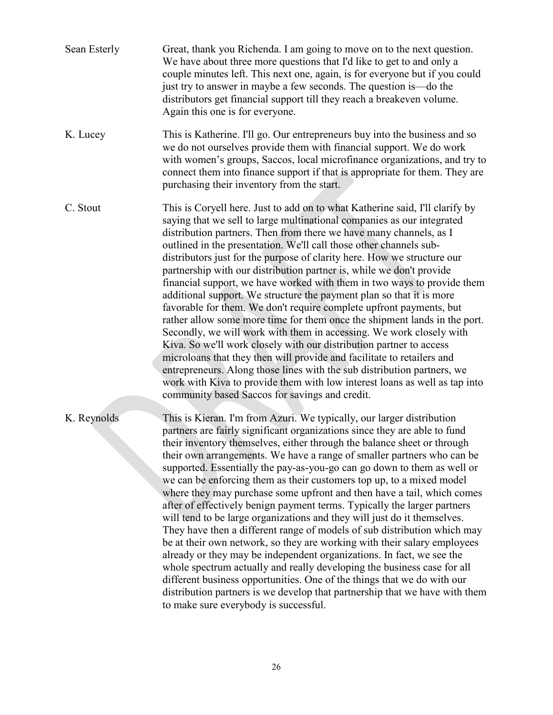| Sean Esterly | Great, thank you Richenda. I am going to move on to the next question.<br>We have about three more questions that I'd like to get to and only a<br>couple minutes left. This next one, again, is for everyone but if you could<br>just try to answer in maybe a few seconds. The question is —do the<br>distributors get financial support till they reach a breakeven volume.<br>Again this one is for everyone.                                                                                                                                                                                                                                                                                                                                                                                                                                                                                                                                                                                                                                                                                                                                                                                           |
|--------------|-------------------------------------------------------------------------------------------------------------------------------------------------------------------------------------------------------------------------------------------------------------------------------------------------------------------------------------------------------------------------------------------------------------------------------------------------------------------------------------------------------------------------------------------------------------------------------------------------------------------------------------------------------------------------------------------------------------------------------------------------------------------------------------------------------------------------------------------------------------------------------------------------------------------------------------------------------------------------------------------------------------------------------------------------------------------------------------------------------------------------------------------------------------------------------------------------------------|
| K. Lucey     | This is Katherine. I'll go. Our entrepreneurs buy into the business and so<br>we do not ourselves provide them with financial support. We do work<br>with women's groups, Saccos, local microfinance organizations, and try to<br>connect them into finance support if that is appropriate for them. They are<br>purchasing their inventory from the start.                                                                                                                                                                                                                                                                                                                                                                                                                                                                                                                                                                                                                                                                                                                                                                                                                                                 |
| C. Stout     | This is Coryell here. Just to add on to what Katherine said, I'll clarify by<br>saying that we sell to large multinational companies as our integrated<br>distribution partners. Then from there we have many channels, as I<br>outlined in the presentation. We'll call those other channels sub-<br>distributors just for the purpose of clarity here. How we structure our<br>partnership with our distribution partner is, while we don't provide<br>financial support, we have worked with them in two ways to provide them<br>additional support. We structure the payment plan so that it is more<br>favorable for them. We don't require complete upfront payments, but<br>rather allow some more time for them once the shipment lands in the port.<br>Secondly, we will work with them in accessing. We work closely with<br>Kiva. So we'll work closely with our distribution partner to access<br>microloans that they then will provide and facilitate to retailers and<br>entrepreneurs. Along those lines with the sub distribution partners, we<br>work with Kiva to provide them with low interest loans as well as tap into<br>community based Saccos for savings and credit.             |
| K. Reynolds  | This is Kieran. I'm from Azuri. We typically, our larger distribution<br>partners are fairly significant organizations since they are able to fund<br>their inventory themselves, either through the balance sheet or through<br>their own arrangements. We have a range of smaller partners who can be<br>supported. Essentially the pay-as-you-go can go down to them as well or<br>we can be enforcing them as their customers top up, to a mixed model<br>where they may purchase some upfront and then have a tail, which comes<br>after of effectively benign payment terms. Typically the larger partners<br>will tend to be large organizations and they will just do it themselves.<br>They have then a different range of models of sub distribution which may<br>be at their own network, so they are working with their salary employees<br>already or they may be independent organizations. In fact, we see the<br>whole spectrum actually and really developing the business case for all<br>different business opportunities. One of the things that we do with our<br>distribution partners is we develop that partnership that we have with them<br>to make sure everybody is successful. |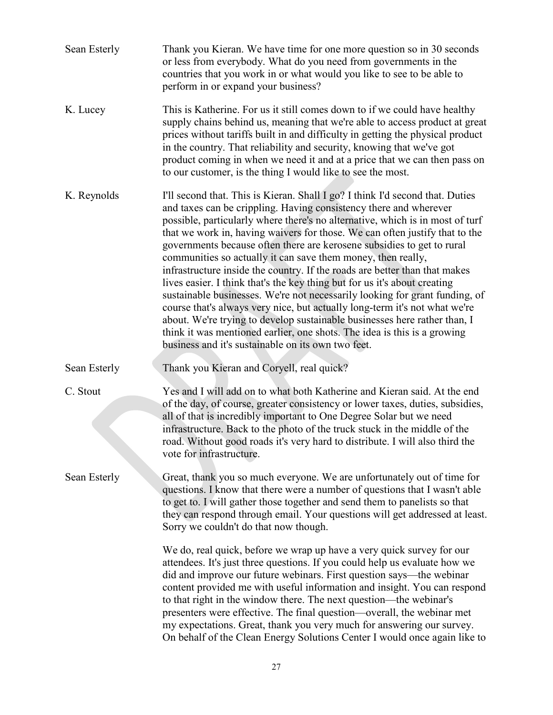| Sean Esterly | Thank you Kieran. We have time for one more question so in 30 seconds<br>or less from everybody. What do you need from governments in the<br>countries that you work in or what would you like to see to be able to<br>perform in or expand your business?                                                                                                                                                                                                                                                                                                                                                                                                                                                                                                                                                                                                                                                                                                                                          |
|--------------|-----------------------------------------------------------------------------------------------------------------------------------------------------------------------------------------------------------------------------------------------------------------------------------------------------------------------------------------------------------------------------------------------------------------------------------------------------------------------------------------------------------------------------------------------------------------------------------------------------------------------------------------------------------------------------------------------------------------------------------------------------------------------------------------------------------------------------------------------------------------------------------------------------------------------------------------------------------------------------------------------------|
| K. Lucey     | This is Katherine. For us it still comes down to if we could have healthy<br>supply chains behind us, meaning that we're able to access product at great<br>prices without tariffs built in and difficulty in getting the physical product<br>in the country. That reliability and security, knowing that we've got<br>product coming in when we need it and at a price that we can then pass on<br>to our customer, is the thing I would like to see the most.                                                                                                                                                                                                                                                                                                                                                                                                                                                                                                                                     |
| K. Reynolds  | I'll second that. This is Kieran. Shall I go? I think I'd second that. Duties<br>and taxes can be crippling. Having consistency there and wherever<br>possible, particularly where there's no alternative, which is in most of turf<br>that we work in, having waivers for those. We can often justify that to the<br>governments because often there are kerosene subsidies to get to rural<br>communities so actually it can save them money, then really,<br>infrastructure inside the country. If the roads are better than that makes<br>lives easier. I think that's the key thing but for us it's about creating<br>sustainable businesses. We're not necessarily looking for grant funding, of<br>course that's always very nice, but actually long-term it's not what we're<br>about. We're trying to develop sustainable businesses here rather than, I<br>think it was mentioned earlier, one shots. The idea is this is a growing<br>business and it's sustainable on its own two feet. |
| Sean Esterly | Thank you Kieran and Coryell, real quick?                                                                                                                                                                                                                                                                                                                                                                                                                                                                                                                                                                                                                                                                                                                                                                                                                                                                                                                                                           |
| C. Stout     | Yes and I will add on to what both Katherine and Kieran said. At the end<br>of the day, of course, greater consistency or lower taxes, duties, subsidies,<br>all of that is incredibly important to One Degree Solar but we need<br>infrastructure. Back to the photo of the truck stuck in the middle of the<br>road. Without good roads it's very hard to distribute. I will also third the<br>vote for infrastructure.                                                                                                                                                                                                                                                                                                                                                                                                                                                                                                                                                                           |
| Sean Esterly | Great, thank you so much everyone. We are unfortunately out of time for<br>questions. I know that there were a number of questions that I wasn't able<br>to get to. I will gather those together and send them to panelists so that<br>they can respond through email. Your questions will get addressed at least.<br>Sorry we couldn't do that now though.                                                                                                                                                                                                                                                                                                                                                                                                                                                                                                                                                                                                                                         |
|              | We do, real quick, before we wrap up have a very quick survey for our<br>attendees. It's just three questions. If you could help us evaluate how we<br>did and improve our future webinars. First question says—the webinar<br>content provided me with useful information and insight. You can respond<br>to that right in the window there. The next question—the webinar's<br>presenters were effective. The final question—overall, the webinar met<br>my expectations. Great, thank you very much for answering our survey.<br>On behalf of the Clean Energy Solutions Center I would once again like to                                                                                                                                                                                                                                                                                                                                                                                       |